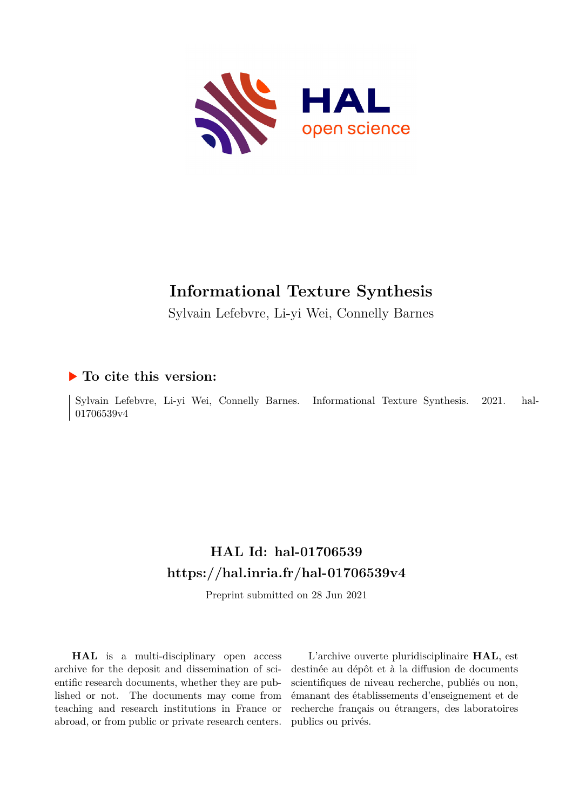

# **Informational Texture Synthesis**

Sylvain Lefebvre, Li-yi Wei, Connelly Barnes

## **To cite this version:**

Sylvain Lefebvre, Li-yi Wei, Connelly Barnes. Informational Texture Synthesis. 2021. hal-01706539v4

# **HAL Id: hal-01706539 <https://hal.inria.fr/hal-01706539v4>**

Preprint submitted on 28 Jun 2021

**HAL** is a multi-disciplinary open access archive for the deposit and dissemination of scientific research documents, whether they are published or not. The documents may come from teaching and research institutions in France or abroad, or from public or private research centers.

L'archive ouverte pluridisciplinaire **HAL**, est destinée au dépôt et à la diffusion de documents scientifiques de niveau recherche, publiés ou non, émanant des établissements d'enseignement et de recherche français ou étrangers, des laboratoires publics ou privés.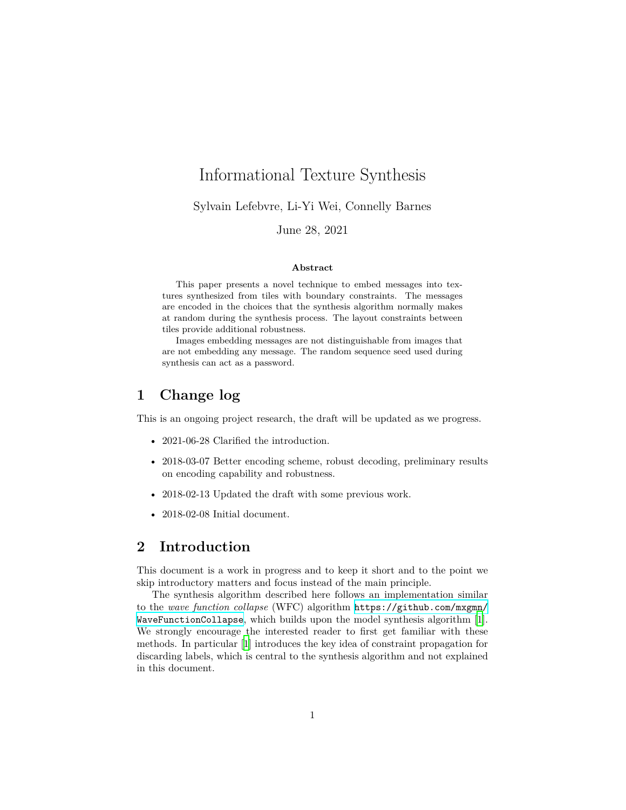## Informational Texture Synthesis

Sylvain Lefebvre, Li-Yi Wei, Connelly Barnes

#### June 28, 2021

#### **Abstract**

This paper presents a novel technique to embed messages into textures synthesized from tiles with boundary constraints. The messages are encoded in the choices that the synthesis algorithm normally makes at random during the synthesis process. The layout constraints between tiles provide additional robustness.

Images embedding messages are not distinguishable from images that are not embedding any message. The random sequence seed used during synthesis can act as a password.

### **1 Change log**

This is an ongoing project research, the draft will be updated as we progress.

- 2021-06-28 Clarified the introduction.
- 2018-03-07 Better encoding scheme, robust decoding, preliminary results on encoding capability and robustness.
- 2018-02-13 Updated the draft with some previous work.
- 2018-02-08 Initial document.

## **2 Introduction**

This document is a work in progress and to keep it short and to the point we skip introductory matters and focus instead of the main principle.

The synthesis algorithm described here follows an implementation similar to the *wave function collapse* (WFC) algorithm [https://github.com/mxgmn/](https://github.com/mxgmn/WaveFunctionCollapse) [WaveFunctionCollapse](https://github.com/mxgmn/WaveFunctionCollapse), which builds upon the model synthesis algorithm [1]. We strongly encourage the interested reader to first get familiar with these methods. In particular [1] introduces the key idea of constraint propagation for discarding labels, which is central to the synthesis algorithm and not explained in this document.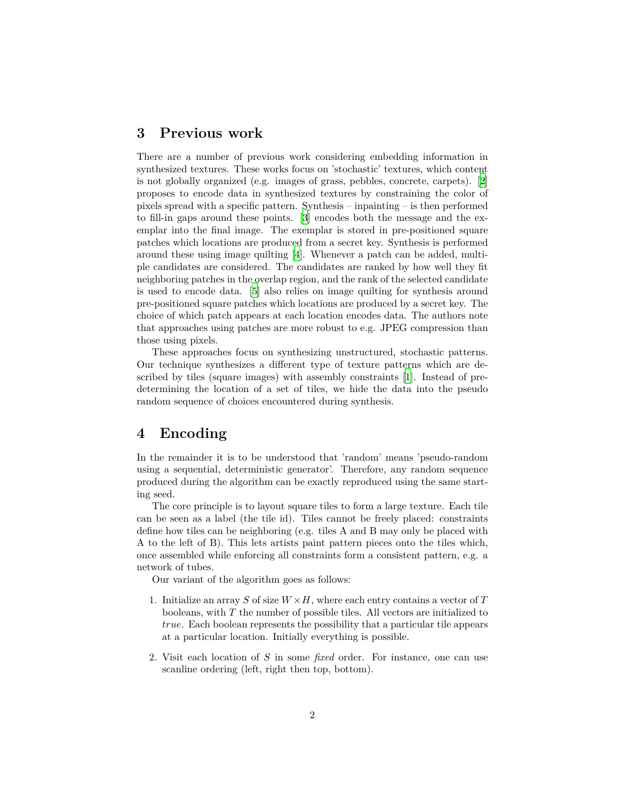#### **3 Previous work**

There are a number of previous work considering embedding information in synthesized textures. These works focus on 'stochastic' textures, which content is not globally organized (e.g. images of grass, pebbles, concrete, carpets). [2] proposes to encode data in synthesized textures by constraining the color of pixels spread with a specific pattern. Synthesis – inpainting – is then performed to fill-in gaps around these points. [3] encodes both the message and the exemplar into the final image. The exemplar is stored in pre-positioned square patches which locations are produced from a secret key. Synthesis is performed around these using image quilting [4]. Whenever a patch can be added, multiple candidates are considered. The candidates are ranked by how well they fit neighboring patches in the overlap region, and the rank of the selected candidate is used to encode data. [5] also relies on image quilting for synthesis around pre-positioned square patches which locations are produced by a secret key. The choice of which patch appears at each location encodes data. The authors note that approaches using patches are more robust to e.g. JPEG compression than those using pixels.

These approaches focus on synthesizing unstructured, stochastic patterns. Our technique synthesizes a different type of texture patterns which are described by tiles (square images) with assembly constraints [1]. Instead of predetermining the location of a set of tiles, we hide the data into the pseudo random sequence of choices encountered during synthesis.

#### **4 Encoding**

In the remainder it is to be understood that 'random' means 'pseudo-random using a sequential, deterministic generator'. Therefore, any random sequence produced during the algorithm can be exactly reproduced using the same starting seed.

The core principle is to layout square tiles to form a large texture. Each tile can be seen as a label (the tile id). Tiles cannot be freely placed: constraints define how tiles can be neighboring (e.g. tiles A and B may only be placed with A to the left of B). This lets artists paint pattern pieces onto the tiles which, once assembled while enforcing all constraints form a consistent pattern, e.g. a network of tubes.

Our variant of the algorithm goes as follows:

- 1. Initialize an array *S* of size *W ×H*, where each entry contains a vector of *T* booleans, with *T* the number of possible tiles. All vectors are initialized to *true*. Each boolean represents the possibility that a particular tile appears at a particular location. Initially everything is possible.
- 2. Visit each location of *S* in some *fixed* order. For instance, one can use scanline ordering (left, right then top, bottom).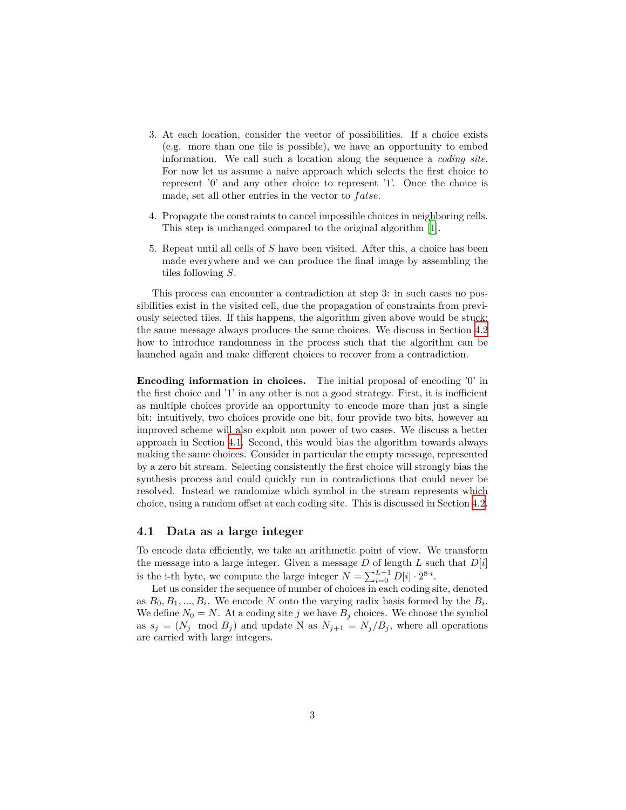- 3. At each location, consider the vector of possibilities. If a choice exists (e.g. more than one tile is possible), we have an opportunity to embed information. We call such a location along the sequence a *coding site*. For now let us assume a naive approach which selects the first choice to represent '0' and any other choice to represent '1'. Once the choice is made, set all other entries in the vector to *f alse*.
- 4. Propagate the constraints to cancel impossible choices in neighboring cells. This step is unchanged compared to the original algorithm [1].
- 5. Repeat until all cells of *S* have been visited. After this, a choice has been made everywhere and we can produce the final image by assembling the tiles following *S*.

This process can encounter a contradiction at step 3: in such cases no possibilities exist in the visited cell, due the propagation of constraints from previously selected tiles. If this happens, the algorithm given above would be stuck: the same message always produces the same choices. We discuss in Section 4.2 how to introduce randomness in the process such that the algorithm can be launched again and make different choices to recover from a contradiction.

**Encoding information in choices.** The initial proposal of encoding '0' in the first choice and '1' in any other is not a good strategy. First, it is inefficient as multiple choices provide an opportunity to encode more than just a single bit: intuitively, two choices provide one bit, four provide two bits, however an improved scheme will also exploit non power of two cases. We discuss a better approach in Section 4.1. Second, this would bias the algorithm towards always making the same choices. Consider in particular the empty message, represented by a zero bit stream. Selecting consistently the first choice will strongly bias the synthesis process and could quickly run in contradictions that could never be resolved. Instead we randomize which symbol in the stream represents which choice, using a random offset at each coding site. This is discussed in Section 4.2.

#### **4.1 Data as a large integer**

To encode data efficiently, we take an arithmetic point of view. We transform the message into a large integer. Given a message *D* of length *L* such that *D*[*i*] is the i-th byte, we compute the large integer  $N = \sum_{i=0}^{L-1} D[i] \cdot 2^{8 \cdot i}$ .

Let us consider the sequence of number of choices in each coding site, denoted as  $B_0, B_1, \ldots, B_i$ . We encode *N* onto the varying radix basis formed by the  $B_i$ . We define  $N_0 = N$ . At a coding site *j* we have  $B_j$  choices. We choose the symbol as  $s_j = (N_j \mod B_j)$  and update N as  $N_{j+1} = N_j/B_j$ , where all operations are carried with large integers.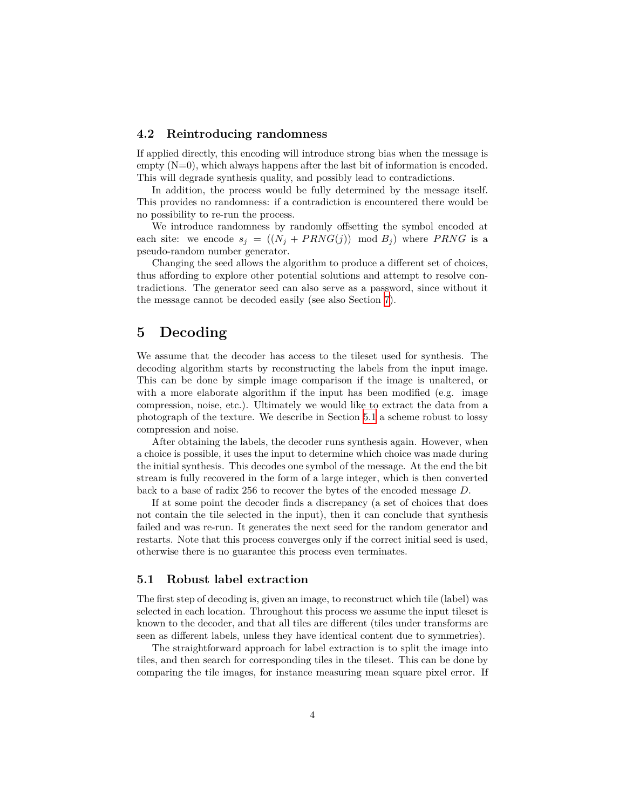#### **4.2 Reintroducing randomness**

If applied directly, this encoding will introduce strong bias when the message is  $empty(N=0)$ , which always happens after the last bit of information is encoded. This will degrade synthesis quality, and possibly lead to contradictions.

In addition, the process would be fully determined by the message itself. This provides no randomness: if a contradiction is encountered there would be no possibility to re-run the process.

We introduce randomness by randomly offsetting the symbol encoded at each site: we encode  $s_j = ((N_j + PRNG(j)))$  mod  $B_j$ ) where *PRNG* is a pseudo-random number generator.

Changing the seed allows the algorithm to produce a different set of choices, thus affording to explore other potential solutions and attempt to resolve contradictions. The generator seed can also serve as a password, since without it the message cannot be decoded easily (see also Section 7).

## **5 Decoding**

We assume that the decoder has access to the tileset used for synthesis. The decoding algorithm starts by reconstructing the labels from the input image. This can be done by simple image comparison if the image is unaltered, or with a more elaborate algorithm if the input has been modified (e.g. image compression, noise, etc.). Ultimately we would like to extract the data from a photograph of the texture. We describe in Section 5.1 a scheme robust to lossy compression and noise.

After obtaining the labels, the decoder runs synthesis again. However, when a choice is possible, it uses the input to determine which choice was made during the initial synthesis. This decodes one symbol of the message. At the end the bit stream is fully recovered in the form of a large integer, which is then converted back to a base of radix 256 to recover the bytes of the encoded message *D*.

If at some point the decoder finds a discrepancy (a set of choices that does not contain the tile selected in the input), then it can conclude that synthesis failed and was re-run. It generates the next seed for the random generator and restarts. Note that this process converges only if the correct initial seed is used, otherwise there is no guarantee this process even terminates.

#### **5.1 Robust label extraction**

The first step of decoding is, given an image, to reconstruct which tile (label) was selected in each location. Throughout this process we assume the input tileset is known to the decoder, and that all tiles are different (tiles under transforms are seen as different labels, unless they have identical content due to symmetries).

The straightforward approach for label extraction is to split the image into tiles, and then search for corresponding tiles in the tileset. This can be done by comparing the tile images, for instance measuring mean square pixel error. If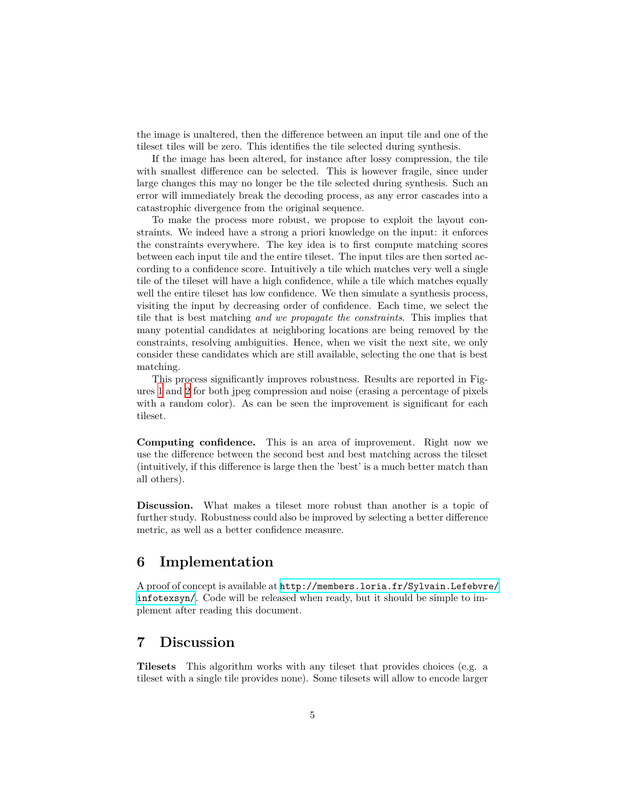the image is unaltered, then the difference between an input tile and one of the tileset tiles will be zero. This identifies the tile selected during synthesis.

If the image has been altered, for instance after lossy compression, the tile with smallest difference can be selected. This is however fragile, since under large changes this may no longer be the tile selected during synthesis. Such an error will immediately break the decoding process, as any error cascades into a catastrophic divergence from the original sequence.

To make the process more robust, we propose to exploit the layout constraints. We indeed have a strong a priori knowledge on the input: it enforces the constraints everywhere. The key idea is to first compute matching scores between each input tile and the entire tileset. The input tiles are then sorted according to a confidence score. Intuitively a tile which matches very well a single tile of the tileset will have a high confidence, while a tile which matches equally well the entire tileset has low confidence. We then simulate a synthesis process, visiting the input by decreasing order of confidence. Each time, we select the tile that is best matching *and we propagate the constraints*. This implies that many potential candidates at neighboring locations are being removed by the constraints, resolving ambiguities. Hence, when we visit the next site, we only consider these candidates which are still available, selecting the one that is best matching.

This process significantly improves robustness. Results are reported in Figures 1 and 2 for both jpeg compression and noise (erasing a percentage of pixels with a random color). As can be seen the improvement is significant for each tileset.

**Computing confidence.** This is an area of improvement. Right now we use the difference between the second best and best matching across the tileset (intuitively, if this difference is large then the 'best' is a much better match than all others).

Discussion. What makes a tileset more robust than another is a topic of further study. Robustness could also be improved by selecting a better difference metric, as well as a better confidence measure.

## **6 Implementation**

A proof of concept is available at [http://members.loria.fr/Sylvain.Lefebvre/](http://members.loria.fr/Sylvain.Lefebvre/infotexsyn/) [infotexsyn/](http://members.loria.fr/Sylvain.Lefebvre/infotexsyn/). Code will be released when ready, but it should be simple to implement after reading this document.

#### **7 Discussion**

**Tilesets** This algorithm works with any tileset that provides choices (e.g. a tileset with a single tile provides none). Some tilesets will allow to encode larger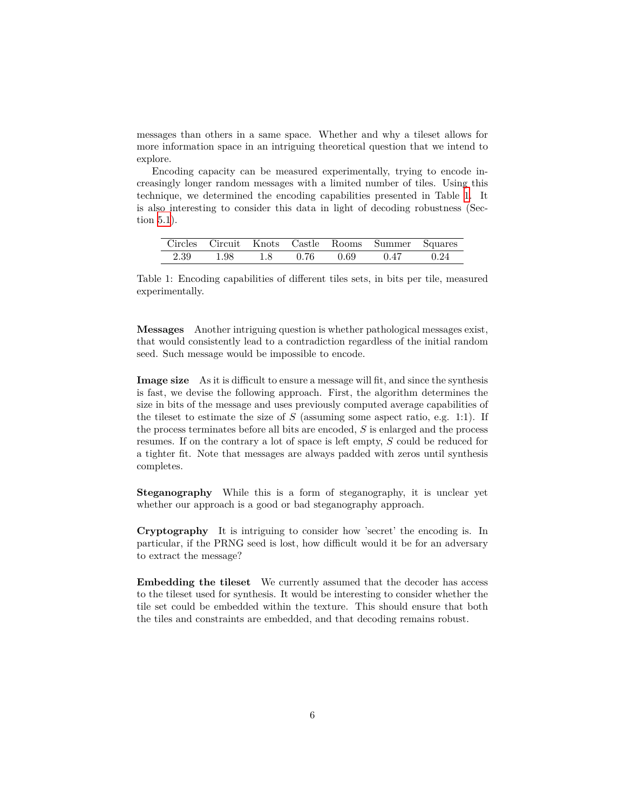messages than others in a same space. Whether and why a tileset allows for more information space in an intriguing theoretical question that we intend to explore.

Encoding capacity can be measured experimentally, trying to encode increasingly longer random messages with a limited number of tiles. Using this technique, we determined the encoding capabilities presented in Table 1. It is also interesting to consider this data in light of decoding robustness (Section 5.1).

|      |      |     |      |      | Circles Circuit Knots Castle Rooms Summer Squares |      |
|------|------|-----|------|------|---------------------------------------------------|------|
| 2.39 | 1.98 | 1.8 | 0.76 | 0.69 | 0.47                                              | 0.24 |

Table 1: Encoding capabilities of different tiles sets, in bits per tile, measured experimentally.

**Messages** Another intriguing question is whether pathological messages exist, that would consistently lead to a contradiction regardless of the initial random seed. Such message would be impossible to encode.

**Image size** As it is difficult to ensure a message will fit, and since the synthesis is fast, we devise the following approach. First, the algorithm determines the size in bits of the message and uses previously computed average capabilities of the tileset to estimate the size of *S* (assuming some aspect ratio, e.g. 1:1). If the process terminates before all bits are encoded, *S* is enlarged and the process resumes. If on the contrary a lot of space is left empty, *S* could be reduced for a tighter fit. Note that messages are always padded with zeros until synthesis completes.

**Steganography** While this is a form of steganography, it is unclear yet whether our approach is a good or bad steganography approach.

**Cryptography** It is intriguing to consider how 'secret' the encoding is. In particular, if the PRNG seed is lost, how difficult would it be for an adversary to extract the message?

**Embedding the tileset** We currently assumed that the decoder has access to the tileset used for synthesis. It would be interesting to consider whether the tile set could be embedded within the texture. This should ensure that both the tiles and constraints are embedded, and that decoding remains robust.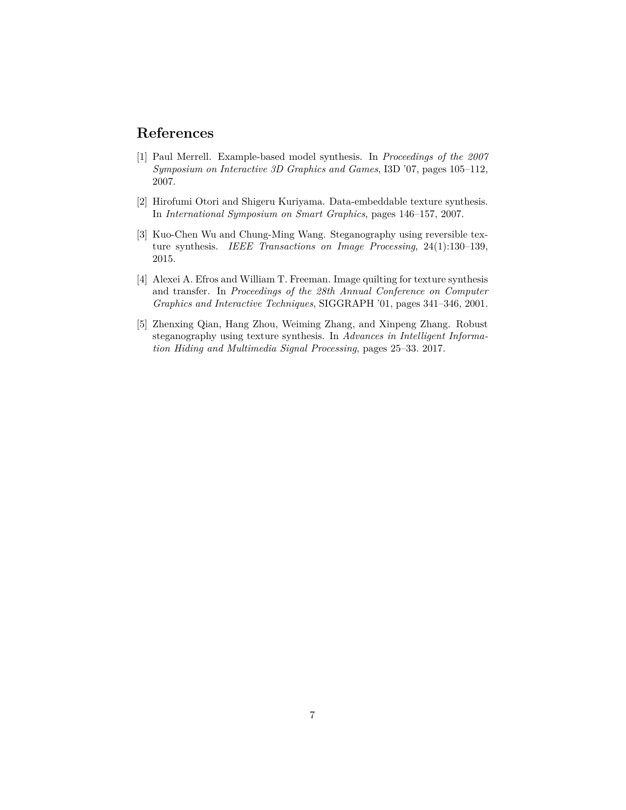## **References**

- [1] Paul Merrell. Example-based model synthesis. In *Proceedings of the 2007 Symposium on Interactive 3D Graphics and Games*, I3D '07, pages 105–112, 2007.
- [2] Hirofumi Otori and Shigeru Kuriyama. Data-embeddable texture synthesis. In *International Symposium on Smart Graphics*, pages 146–157, 2007.
- [3] Kuo-Chen Wu and Chung-Ming Wang. Steganography using reversible texture synthesis. *IEEE Transactions on Image Processing*, 24(1):130–139, 2015.
- [4] Alexei A. Efros and William T. Freeman. Image quilting for texture synthesis and transfer. In *Proceedings of the 28th Annual Conference on Computer Graphics and Interactive Techniques*, SIGGRAPH '01, pages 341–346, 2001.
- [5] Zhenxing Qian, Hang Zhou, Weiming Zhang, and Xinpeng Zhang. Robust steganography using texture synthesis. In *Advances in Intelligent Information Hiding and Multimedia Signal Processing*, pages 25–33. 2017.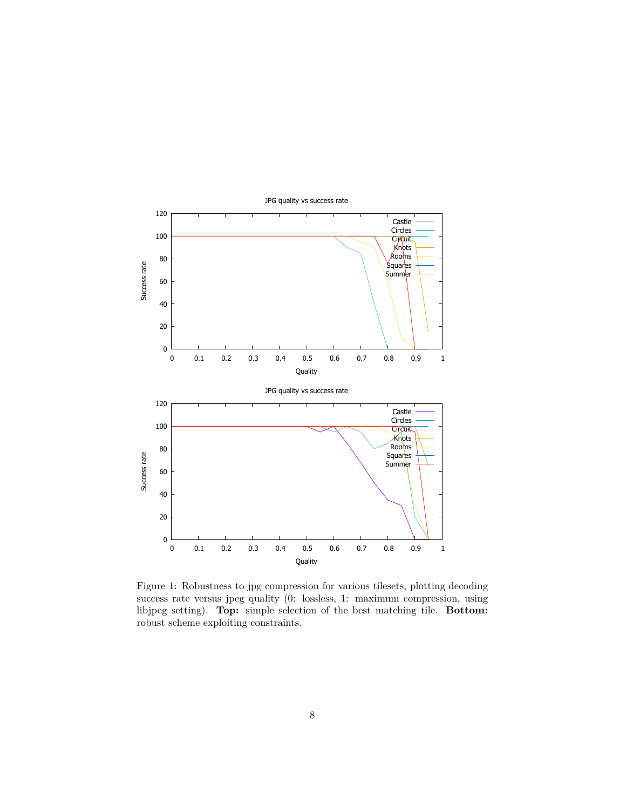

Figure 1: Robustness to jpg compression for various tilesets, plotting decoding success rate versus jpeg quality (0: lossless, 1: maximum compression, using libjpeg setting). **Top:** simple selection of the best matching tile. **Bottom:** robust scheme exploiting constraints.